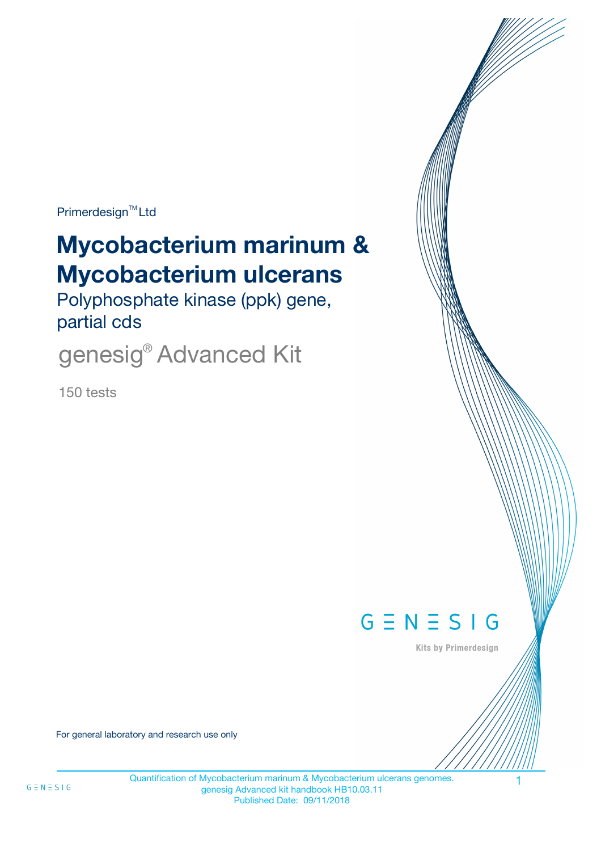Primerdesign<sup>™</sup>Ltd

# **Mycobacterium marinum & Mycobacterium ulcerans**

Polyphosphate kinase (ppk) gene, partial cds

genesig<sup>®</sup> Advanced Kit

150 tests



Kits by Primerdesign

For general laboratory and research use only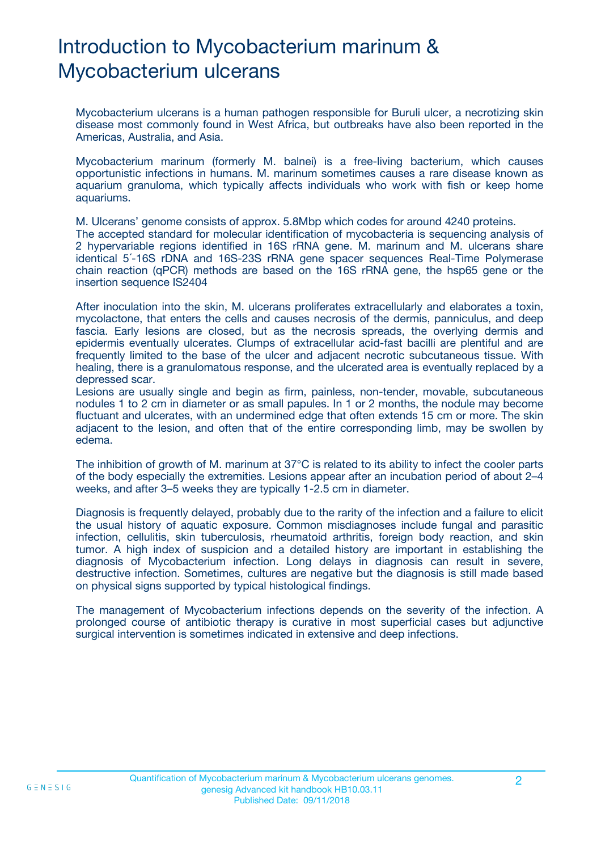# Introduction to Mycobacterium marinum & Mycobacterium ulcerans

Mycobacterium ulcerans is a human pathogen responsible for Buruli ulcer, a necrotizing skin disease most commonly found in West Africa, but outbreaks have also been reported in the Americas, Australia, and Asia.

Mycobacterium marinum (formerly M. balnei) is a free-living bacterium, which causes opportunistic infections in humans. M. marinum sometimes causes a rare disease known as aquarium granuloma, which typically affects individuals who work with fish or keep home aquariums.

M. Ulcerans' genome consists of approx. 5.8Mbp which codes for around 4240 proteins.

The accepted standard for molecular identification of mycobacteria is sequencing analysis of 2 hypervariable regions identified in 16S rRNA gene. M. marinum and M. ulcerans share identical 5´-16S rDNA and 16S-23S rRNA gene spacer sequences Real-Time Polymerase chain reaction (qPCR) methods are based on the 16S rRNA gene, the hsp65 gene or the insertion sequence IS2404

After inoculation into the skin, M. ulcerans proliferates extracellularly and elaborates a toxin, mycolactone, that enters the cells and causes necrosis of the dermis, panniculus, and deep fascia. Early lesions are closed, but as the necrosis spreads, the overlying dermis and epidermis eventually ulcerates. Clumps of extracellular acid-fast bacilli are plentiful and are frequently limited to the base of the ulcer and adjacent necrotic subcutaneous tissue. With healing, there is a granulomatous response, and the ulcerated area is eventually replaced by a depressed scar.

Lesions are usually single and begin as firm, painless, non-tender, movable, subcutaneous nodules 1 to 2 cm in diameter or as small papules. In 1 or 2 months, the nodule may become fluctuant and ulcerates, with an undermined edge that often extends 15 cm or more. The skin adjacent to the lesion, and often that of the entire corresponding limb, may be swollen by edema.

The inhibition of growth of M. marinum at 37°C is related to its ability to infect the cooler parts of the body especially the extremities. Lesions appear after an incubation period of about 2–4 weeks, and after 3–5 weeks they are typically 1-2.5 cm in diameter.

Diagnosis is frequently delayed, probably due to the rarity of the infection and a failure to elicit the usual history of aquatic exposure. Common misdiagnoses include fungal and parasitic infection, cellulitis, skin tuberculosis, rheumatoid arthritis, foreign body reaction, and skin tumor. A high index of suspicion and a detailed history are important in establishing the diagnosis of Mycobacterium infection. Long delays in diagnosis can result in severe, destructive infection. Sometimes, cultures are negative but the diagnosis is still made based on physical signs supported by typical histological findings.

The management of Mycobacterium infections depends on the severity of the infection. A prolonged course of antibiotic therapy is curative in most superficial cases but adjunctive surgical intervention is sometimes indicated in extensive and deep infections.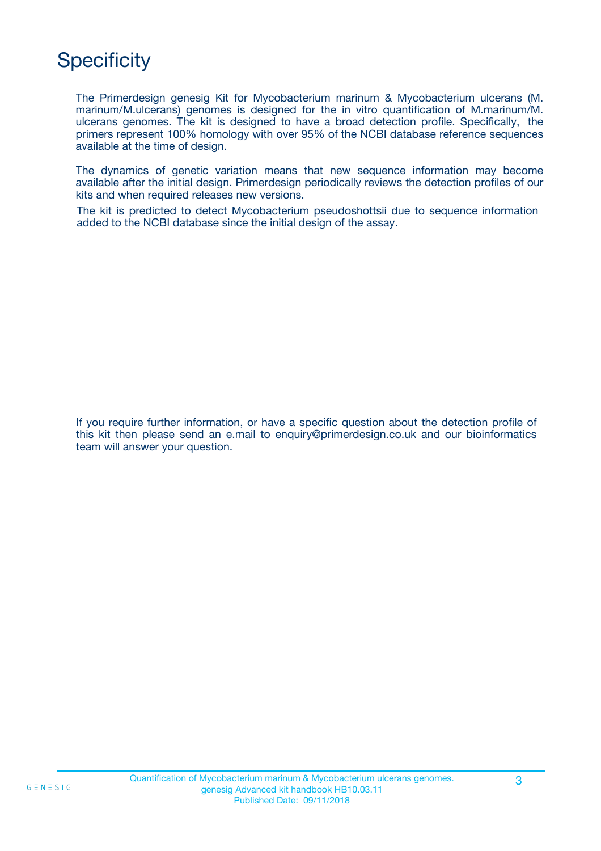# **Specificity**

The Primerdesign genesig Kit for Mycobacterium marinum & Mycobacterium ulcerans (M. marinum/M.ulcerans) genomes is designed for the in vitro quantification of M.marinum/M. ulcerans genomes. The kit is designed to have a broad detection profile. Specifically, the primers represent 100% homology with over 95% of the NCBI database reference sequences available at the time of design.

The dynamics of genetic variation means that new sequence information may become available after the initial design. Primerdesign periodically reviews the detection profiles of our kits and when required releases new versions.

The kit is predicted to detect Mycobacterium pseudoshottsii due to sequence information added to the NCBI database since the initial design of the assay.

If you require further information, or have a specific question about the detection profile of this kit then please send an e.mail to enquiry@primerdesign.co.uk and our bioinformatics team will answer your question.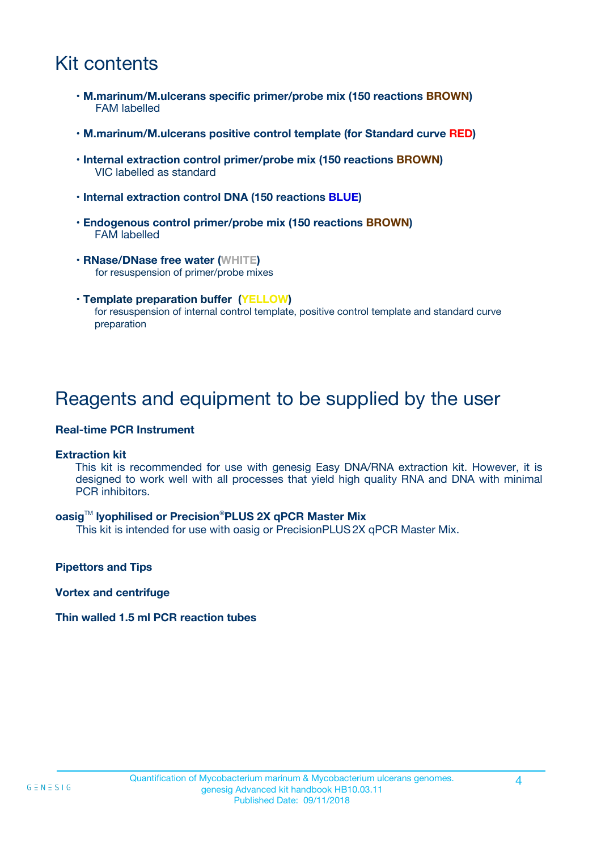# Kit contents

- **M.marinum/M.ulcerans specific primer/probe mix (150 reactions BROWN)** FAM labelled
- **M.marinum/M.ulcerans positive control template (for Standard curve RED)**
- **Internal extraction control primer/probe mix (150 reactions BROWN)** VIC labelled as standard
- **Internal extraction control DNA (150 reactions BLUE)**
- **Endogenous control primer/probe mix (150 reactions BROWN)** FAM labelled
- **RNase/DNase free water (WHITE)** for resuspension of primer/probe mixes
- **Template preparation buffer (YELLOW)** for resuspension of internal control template, positive control template and standard curve preparation

### Reagents and equipment to be supplied by the user

#### **Real-time PCR Instrument**

#### **Extraction kit**

This kit is recommended for use with genesig Easy DNA/RNA extraction kit. However, it is designed to work well with all processes that yield high quality RNA and DNA with minimal PCR inhibitors.

#### **oasig**TM **lyophilised or Precision**®**PLUS 2X qPCR Master Mix**

This kit is intended for use with oasig or PrecisionPLUS2X qPCR Master Mix.

**Pipettors and Tips**

**Vortex and centrifuge**

#### **Thin walled 1.5 ml PCR reaction tubes**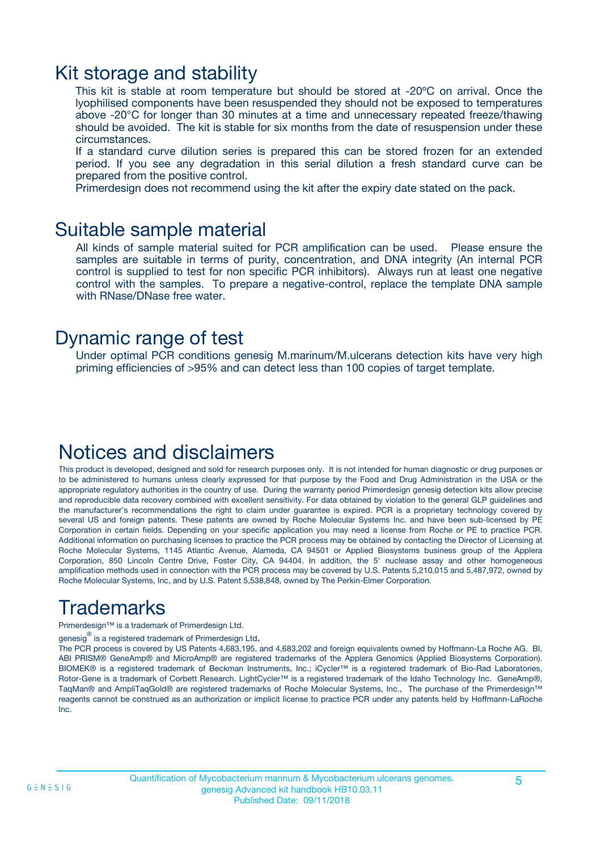### Kit storage and stability

This kit is stable at room temperature but should be stored at -20ºC on arrival. Once the lyophilised components have been resuspended they should not be exposed to temperatures above -20°C for longer than 30 minutes at a time and unnecessary repeated freeze/thawing should be avoided. The kit is stable for six months from the date of resuspension under these circumstances.

If a standard curve dilution series is prepared this can be stored frozen for an extended period. If you see any degradation in this serial dilution a fresh standard curve can be prepared from the positive control.

Primerdesign does not recommend using the kit after the expiry date stated on the pack.

### Suitable sample material

All kinds of sample material suited for PCR amplification can be used. Please ensure the samples are suitable in terms of purity, concentration, and DNA integrity (An internal PCR control is supplied to test for non specific PCR inhibitors). Always run at least one negative control with the samples. To prepare a negative-control, replace the template DNA sample with RNase/DNase free water.

### Dynamic range of test

Under optimal PCR conditions genesig M.marinum/M.ulcerans detection kits have very high priming efficiencies of >95% and can detect less than 100 copies of target template.

### Notices and disclaimers

This product is developed, designed and sold for research purposes only. It is not intended for human diagnostic or drug purposes or to be administered to humans unless clearly expressed for that purpose by the Food and Drug Administration in the USA or the appropriate regulatory authorities in the country of use. During the warranty period Primerdesign genesig detection kits allow precise and reproducible data recovery combined with excellent sensitivity. For data obtained by violation to the general GLP guidelines and the manufacturer's recommendations the right to claim under guarantee is expired. PCR is a proprietary technology covered by several US and foreign patents. These patents are owned by Roche Molecular Systems Inc. and have been sub-licensed by PE Corporation in certain fields. Depending on your specific application you may need a license from Roche or PE to practice PCR. Additional information on purchasing licenses to practice the PCR process may be obtained by contacting the Director of Licensing at Roche Molecular Systems, 1145 Atlantic Avenue, Alameda, CA 94501 or Applied Biosystems business group of the Applera Corporation, 850 Lincoln Centre Drive, Foster City, CA 94404. In addition, the 5' nuclease assay and other homogeneous amplification methods used in connection with the PCR process may be covered by U.S. Patents 5,210,015 and 5,487,972, owned by Roche Molecular Systems, Inc, and by U.S. Patent 5,538,848, owned by The Perkin-Elmer Corporation.

# Trademarks

Primerdesign™ is a trademark of Primerdesign Ltd.

genesig $^\circledR$  is a registered trademark of Primerdesign Ltd.

The PCR process is covered by US Patents 4,683,195, and 4,683,202 and foreign equivalents owned by Hoffmann-La Roche AG. BI, ABI PRISM® GeneAmp® and MicroAmp® are registered trademarks of the Applera Genomics (Applied Biosystems Corporation). BIOMEK® is a registered trademark of Beckman Instruments, Inc.; iCycler™ is a registered trademark of Bio-Rad Laboratories, Rotor-Gene is a trademark of Corbett Research. LightCycler™ is a registered trademark of the Idaho Technology Inc. GeneAmp®, TaqMan® and AmpliTaqGold® are registered trademarks of Roche Molecular Systems, Inc., The purchase of the Primerdesign™ reagents cannot be construed as an authorization or implicit license to practice PCR under any patents held by Hoffmann-LaRoche Inc.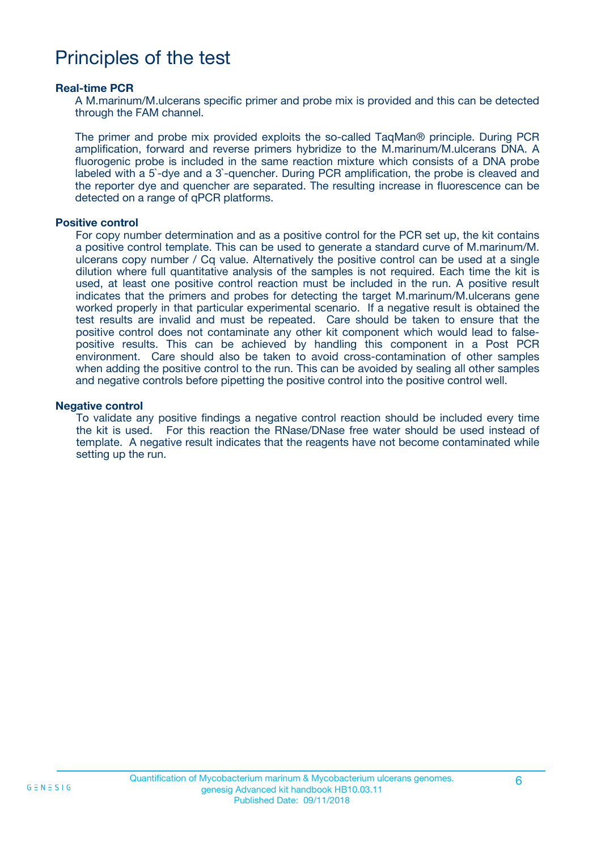## Principles of the test

#### **Real-time PCR**

A M.marinum/M.ulcerans specific primer and probe mix is provided and this can be detected through the FAM channel.

The primer and probe mix provided exploits the so-called TaqMan® principle. During PCR amplification, forward and reverse primers hybridize to the M.marinum/M.ulcerans DNA. A fluorogenic probe is included in the same reaction mixture which consists of a DNA probe labeled with a 5`-dye and a 3`-quencher. During PCR amplification, the probe is cleaved and the reporter dye and quencher are separated. The resulting increase in fluorescence can be detected on a range of qPCR platforms.

#### **Positive control**

For copy number determination and as a positive control for the PCR set up, the kit contains a positive control template. This can be used to generate a standard curve of M.marinum/M. ulcerans copy number / Cq value. Alternatively the positive control can be used at a single dilution where full quantitative analysis of the samples is not required. Each time the kit is used, at least one positive control reaction must be included in the run. A positive result indicates that the primers and probes for detecting the target M.marinum/M.ulcerans gene worked properly in that particular experimental scenario. If a negative result is obtained the test results are invalid and must be repeated. Care should be taken to ensure that the positive control does not contaminate any other kit component which would lead to falsepositive results. This can be achieved by handling this component in a Post PCR environment. Care should also be taken to avoid cross-contamination of other samples when adding the positive control to the run. This can be avoided by sealing all other samples and negative controls before pipetting the positive control into the positive control well.

#### **Negative control**

To validate any positive findings a negative control reaction should be included every time the kit is used. For this reaction the RNase/DNase free water should be used instead of template. A negative result indicates that the reagents have not become contaminated while setting up the run.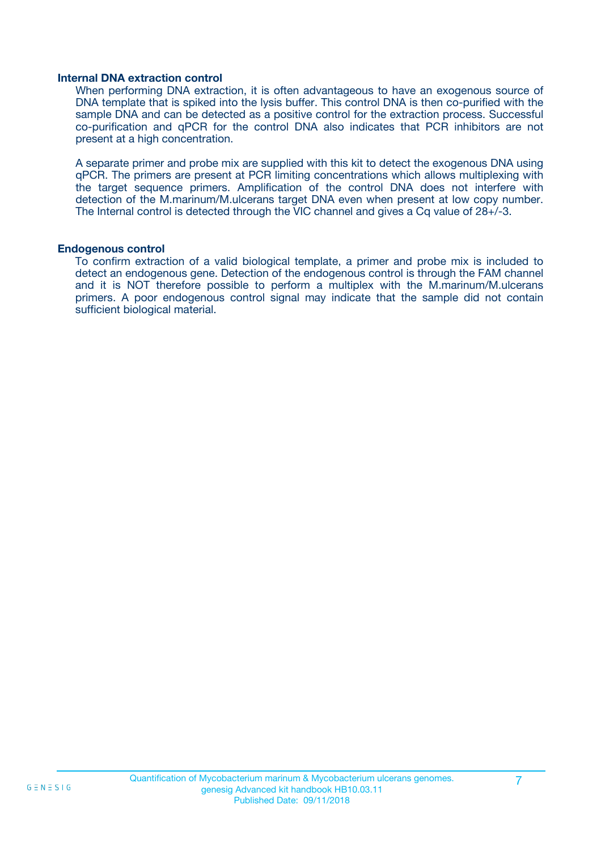#### **Internal DNA extraction control**

When performing DNA extraction, it is often advantageous to have an exogenous source of DNA template that is spiked into the lysis buffer. This control DNA is then co-purified with the sample DNA and can be detected as a positive control for the extraction process. Successful co-purification and qPCR for the control DNA also indicates that PCR inhibitors are not present at a high concentration.

A separate primer and probe mix are supplied with this kit to detect the exogenous DNA using qPCR. The primers are present at PCR limiting concentrations which allows multiplexing with the target sequence primers. Amplification of the control DNA does not interfere with detection of the M.marinum/M.ulcerans target DNA even when present at low copy number. The Internal control is detected through the VIC channel and gives a Cq value of 28+/-3.

#### **Endogenous control**

To confirm extraction of a valid biological template, a primer and probe mix is included to detect an endogenous gene. Detection of the endogenous control is through the FAM channel and it is NOT therefore possible to perform a multiplex with the M.marinum/M.ulcerans primers. A poor endogenous control signal may indicate that the sample did not contain sufficient biological material.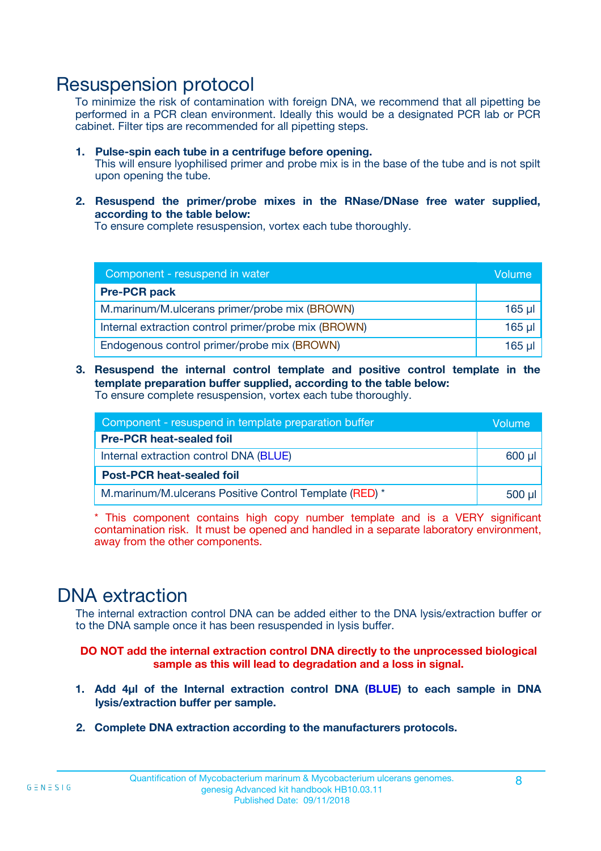### Resuspension protocol

To minimize the risk of contamination with foreign DNA, we recommend that all pipetting be performed in a PCR clean environment. Ideally this would be a designated PCR lab or PCR cabinet. Filter tips are recommended for all pipetting steps.

- **1. Pulse-spin each tube in a centrifuge before opening.** This will ensure lyophilised primer and probe mix is in the base of the tube and is not spilt upon opening the tube.
- **2. Resuspend the primer/probe mixes in the RNase/DNase free water supplied, according to the table below:**

To ensure complete resuspension, vortex each tube thoroughly.

| Component - resuspend in water                       |          |  |
|------------------------------------------------------|----------|--|
| <b>Pre-PCR pack</b>                                  |          |  |
| M.marinum/M.ulcerans primer/probe mix (BROWN)        | $165$ µl |  |
| Internal extraction control primer/probe mix (BROWN) | $165$ µl |  |
| Endogenous control primer/probe mix (BROWN)          | 165 µl   |  |

**3. Resuspend the internal control template and positive control template in the template preparation buffer supplied, according to the table below:** To ensure complete resuspension, vortex each tube thoroughly.

| Component - resuspend in template preparation buffer   |  |  |  |
|--------------------------------------------------------|--|--|--|
| <b>Pre-PCR heat-sealed foil</b>                        |  |  |  |
| Internal extraction control DNA (BLUE)                 |  |  |  |
| <b>Post-PCR heat-sealed foil</b>                       |  |  |  |
| M.marinum/M.ulcerans Positive Control Template (RED) * |  |  |  |

\* This component contains high copy number template and is a VERY significant contamination risk. It must be opened and handled in a separate laboratory environment, away from the other components.

### DNA extraction

The internal extraction control DNA can be added either to the DNA lysis/extraction buffer or to the DNA sample once it has been resuspended in lysis buffer.

**DO NOT add the internal extraction control DNA directly to the unprocessed biological sample as this will lead to degradation and a loss in signal.**

- **1. Add 4µl of the Internal extraction control DNA (BLUE) to each sample in DNA lysis/extraction buffer per sample.**
- **2. Complete DNA extraction according to the manufacturers protocols.**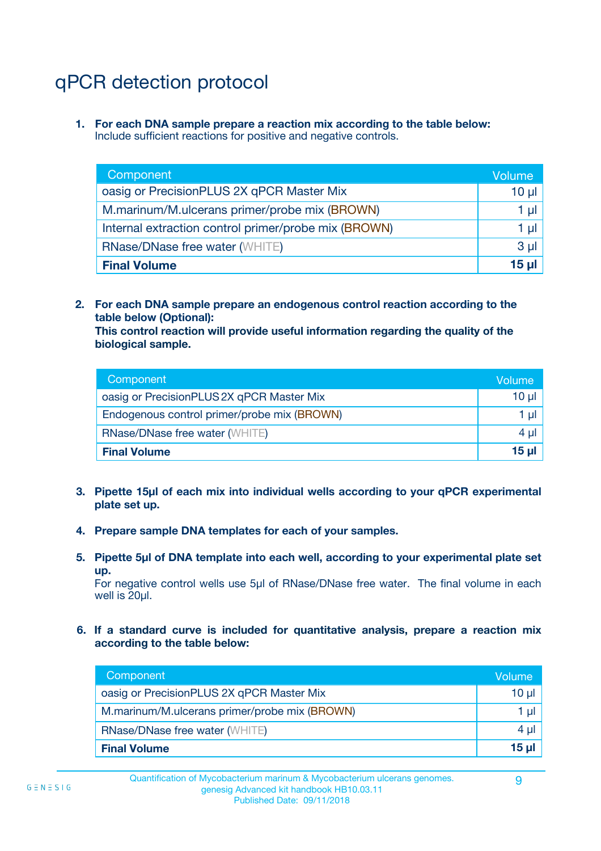# qPCR detection protocol

**1. For each DNA sample prepare a reaction mix according to the table below:** Include sufficient reactions for positive and negative controls.

| Component                                            | Volume   |
|------------------------------------------------------|----------|
| oasig or PrecisionPLUS 2X qPCR Master Mix            | 10 $\mu$ |
| M.marinum/M.ulcerans primer/probe mix (BROWN)        | 1 µI     |
| Internal extraction control primer/probe mix (BROWN) | 1 µl     |
| <b>RNase/DNase free water (WHITE)</b>                | $3 \mu$  |
| <b>Final Volume</b>                                  | 15 µl    |

**2. For each DNA sample prepare an endogenous control reaction according to the table below (Optional):**

**This control reaction will provide useful information regarding the quality of the biological sample.**

| Component                                   | Volume   |
|---------------------------------------------|----------|
| oasig or PrecisionPLUS 2X qPCR Master Mix   | $10 \mu$ |
| Endogenous control primer/probe mix (BROWN) | 1 µI     |
| <b>RNase/DNase free water (WHITE)</b>       | $4 \mu$  |
| <b>Final Volume</b>                         | 15 µl    |

- **3. Pipette 15µl of each mix into individual wells according to your qPCR experimental plate set up.**
- **4. Prepare sample DNA templates for each of your samples.**
- **5. Pipette 5µl of DNA template into each well, according to your experimental plate set up.**

For negative control wells use 5µl of RNase/DNase free water. The final volume in each well is 20ul.

**6. If a standard curve is included for quantitative analysis, prepare a reaction mix according to the table below:**

| Component                                     | Volume          |
|-----------------------------------------------|-----------------|
| oasig or PrecisionPLUS 2X qPCR Master Mix     | 10 ul           |
| M.marinum/M.ulcerans primer/probe mix (BROWN) |                 |
| <b>RNase/DNase free water (WHITE)</b>         | 4 µl            |
| <b>Final Volume</b>                           | 15 <sub>µ</sub> |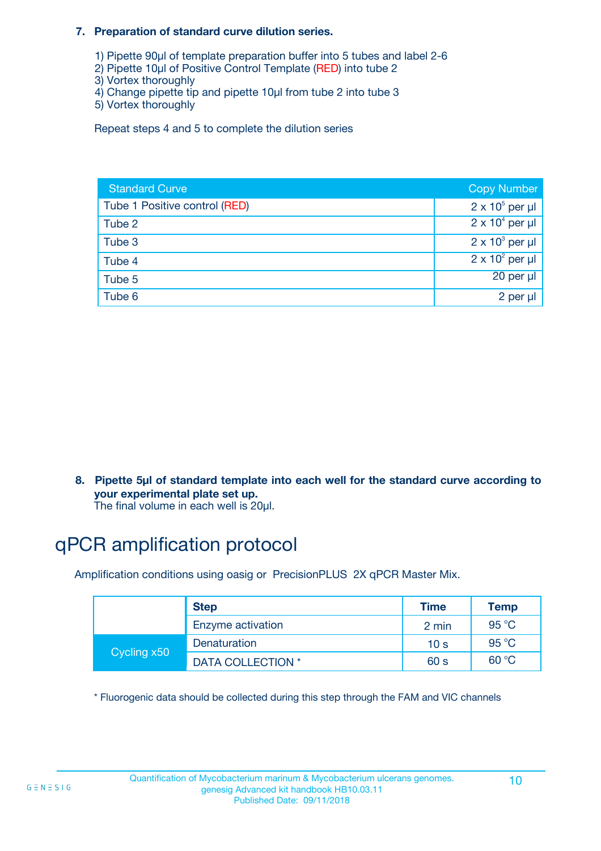#### **7. Preparation of standard curve dilution series.**

- 1) Pipette 90µl of template preparation buffer into 5 tubes and label 2-6
- 2) Pipette 10µl of Positive Control Template (RED) into tube 2
- 3) Vortex thoroughly
- 4) Change pipette tip and pipette 10µl from tube 2 into tube 3
- 5) Vortex thoroughly

Repeat steps 4 and 5 to complete the dilution series

| <b>Standard Curve</b>         | <b>Copy Number</b>     |
|-------------------------------|------------------------|
| Tube 1 Positive control (RED) | $2 \times 10^5$ per µl |
| Tube 2                        | $2 \times 10^4$ per µl |
| Tube 3                        | $2 \times 10^3$ per µl |
| Tube 4                        | $2 \times 10^2$ per µl |
| Tube 5                        | 20 per µl              |
| Tube 6                        | 2 per µl               |

**8. Pipette 5µl of standard template into each well for the standard curve according to your experimental plate set up.**

#### The final volume in each well is 20µl.

## qPCR amplification protocol

Amplification conditions using oasig or PrecisionPLUS 2X qPCR Master Mix.

|             | <b>Step</b>       | <b>Time</b>     | Temp    |
|-------------|-------------------|-----------------|---------|
|             | Enzyme activation | 2 min           | 95 °C   |
| Cycling x50 | Denaturation      | 10 <sub>s</sub> | 95 $°C$ |
|             | DATA COLLECTION * | 60 s            | 60 °C   |

\* Fluorogenic data should be collected during this step through the FAM and VIC channels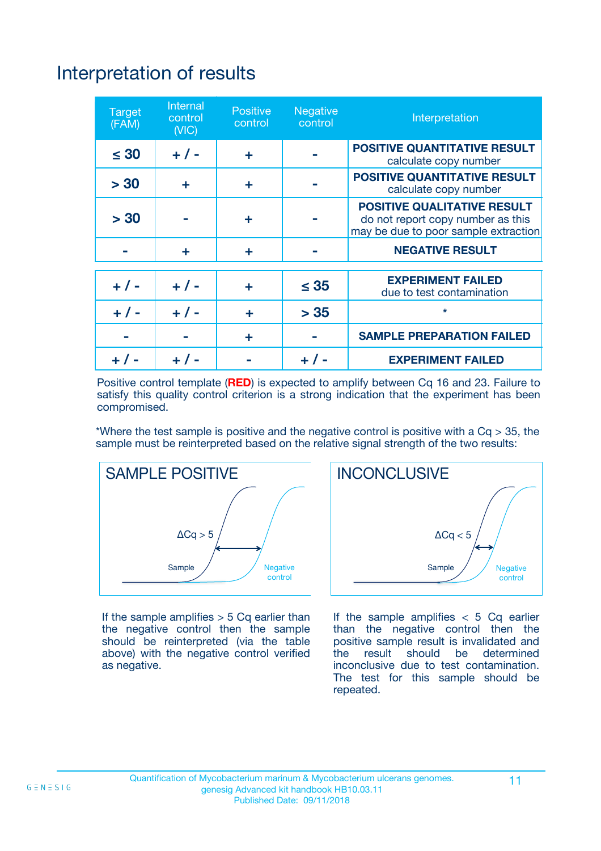# Interpretation of results

| <b>Target</b><br>(FAM) | Internal<br>control<br>(NIC) | <b>Positive</b><br>control | Negative<br>control | Interpretation                                                                                                  |
|------------------------|------------------------------|----------------------------|---------------------|-----------------------------------------------------------------------------------------------------------------|
| $\leq 30$              | $+ 1 -$                      | ÷                          |                     | <b>POSITIVE QUANTITATIVE RESULT</b><br>calculate copy number                                                    |
| > 30                   | ÷                            | ÷                          |                     | <b>POSITIVE QUANTITATIVE RESULT</b><br>calculate copy number                                                    |
| > 30                   |                              | ÷                          |                     | <b>POSITIVE QUALITATIVE RESULT</b><br>do not report copy number as this<br>may be due to poor sample extraction |
|                        | ÷                            | ÷                          |                     | <b>NEGATIVE RESULT</b>                                                                                          |
|                        |                              |                            |                     | <b>EXPERIMENT FAILED</b>                                                                                        |
| $+ 1 -$                | $+ 1 -$                      | ÷                          | $\leq 35$           | due to test contamination                                                                                       |
| $+ 1 -$                | $+ 1 -$                      | ÷                          | > 35                | $\star$                                                                                                         |
|                        |                              | ÷                          |                     | <b>SAMPLE PREPARATION FAILED</b>                                                                                |
|                        |                              |                            |                     | <b>EXPERIMENT FAILED</b>                                                                                        |

Positive control template (**RED**) is expected to amplify between Cq 16 and 23. Failure to satisfy this quality control criterion is a strong indication that the experiment has been compromised.

\*Where the test sample is positive and the negative control is positive with a  $Ca > 35$ , the sample must be reinterpreted based on the relative signal strength of the two results:



If the sample amplifies  $> 5$  Cq earlier than the negative control then the sample should be reinterpreted (via the table above) with the negative control verified as negative.



If the sample amplifies  $< 5$  Cq earlier than the negative control then the positive sample result is invalidated and<br>the result should be determined  $the$  result should be inconclusive due to test contamination. The test for this sample should be repeated.